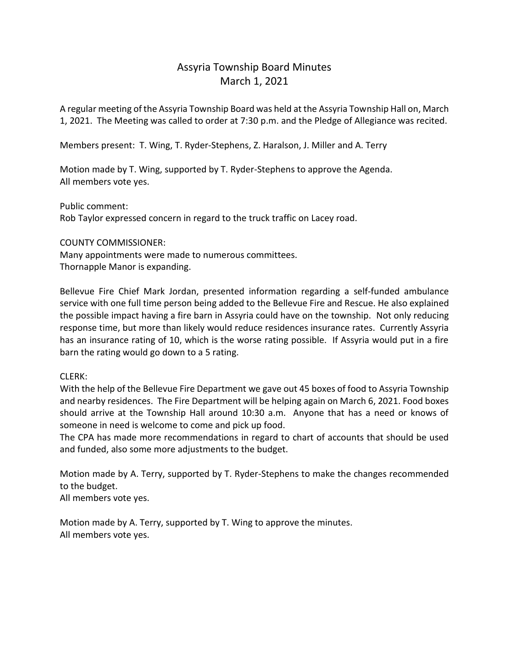## Assyria Township Board Minutes March 1, 2021

A regular meeting of the Assyria Township Board was held at the Assyria Township Hall on, March 1, 2021. The Meeting was called to order at 7:30 p.m. and the Pledge of Allegiance was recited.

Members present: T. Wing, T. Ryder-Stephens, Z. Haralson, J. Miller and A. Terry

Motion made by T. Wing, supported by T. Ryder-Stephens to approve the Agenda. All members vote yes.

Public comment: Rob Taylor expressed concern in regard to the truck traffic on Lacey road.

## COUNTY COMMISSIONER:

Many appointments were made to numerous committees. Thornapple Manor is expanding.

Bellevue Fire Chief Mark Jordan, presented information regarding a self-funded ambulance service with one full time person being added to the Bellevue Fire and Rescue. He also explained the possible impact having a fire barn in Assyria could have on the township. Not only reducing response time, but more than likely would reduce residences insurance rates. Currently Assyria has an insurance rating of 10, which is the worse rating possible. If Assyria would put in a fire barn the rating would go down to a 5 rating.

## CLERK:

With the help of the Bellevue Fire Department we gave out 45 boxes of food to Assyria Township and nearby residences. The Fire Department will be helping again on March 6, 2021. Food boxes should arrive at the Township Hall around 10:30 a.m. Anyone that has a need or knows of someone in need is welcome to come and pick up food.

The CPA has made more recommendations in regard to chart of accounts that should be used and funded, also some more adjustments to the budget.

Motion made by A. Terry, supported by T. Ryder-Stephens to make the changes recommended to the budget.

All members vote yes.

Motion made by A. Terry, supported by T. Wing to approve the minutes. All members vote yes.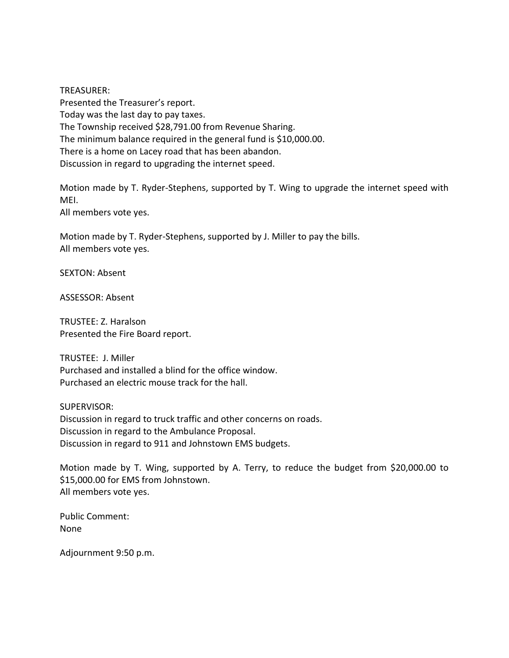TREASURER: Presented the Treasurer's report. Today was the last day to pay taxes. The Township received \$28,791.00 from Revenue Sharing. The minimum balance required in the general fund is \$10,000.00. There is a home on Lacey road that has been abandon. Discussion in regard to upgrading the internet speed.

Motion made by T. Ryder-Stephens, supported by T. Wing to upgrade the internet speed with MEI.

All members vote yes.

Motion made by T. Ryder-Stephens, supported by J. Miller to pay the bills. All members vote yes.

SEXTON: Absent

ASSESSOR: Absent

TRUSTEE: Z. Haralson Presented the Fire Board report.

TRUSTEE: J. Miller Purchased and installed a blind for the office window. Purchased an electric mouse track for the hall.

SUPERVISOR: Discussion in regard to truck traffic and other concerns on roads. Discussion in regard to the Ambulance Proposal. Discussion in regard to 911 and Johnstown EMS budgets.

Motion made by T. Wing, supported by A. Terry, to reduce the budget from \$20,000.00 to \$15,000.00 for EMS from Johnstown. All members vote yes.

Public Comment: None

Adjournment 9:50 p.m.